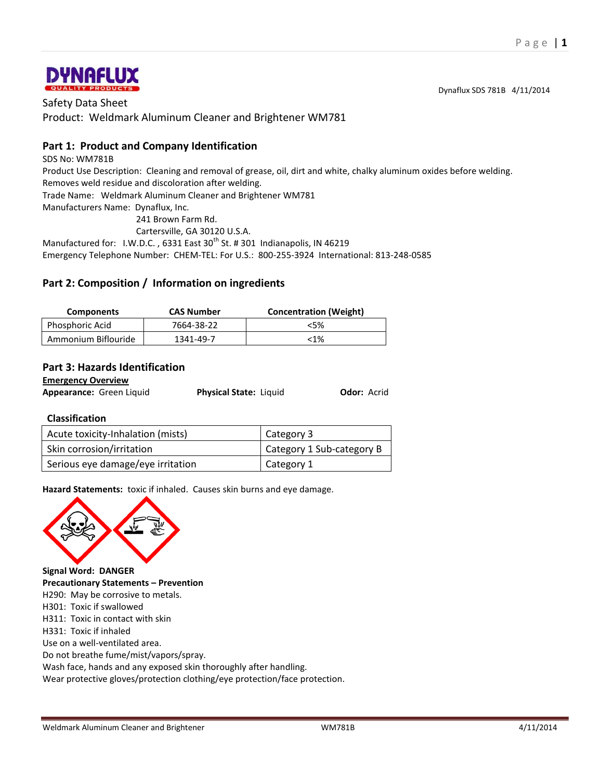

Safety Data Sheet Product: Weldmark Aluminum Cleaner and Brightener WM781

## **Part 1: Product and Company Identification**

SDS No: WM781B

Product Use Description: Cleaning and removal of grease, oil, dirt and white, chalky aluminum oxides before welding. Removes weld residue and discoloration after welding.

Trade Name: Weldmark Aluminum Cleaner and Brightener WM781

Manufacturers Name: Dynaflux, Inc.

241 Brown Farm Rd.

Cartersville, GA 30120 U.S.A.

Manufactured for: I.W.D.C., 6331 East 30<sup>th</sup> St. # 301 Indianapolis, IN 46219

Emergency Telephone Number: CHEM-TEL: For U.S.: 800-255-3924 International: 813-248-0585

## **Part 2: Composition / Information on ingredients**

| <b>Components</b>   | <b>CAS Number</b> | <b>Concentration (Weight)</b> |
|---------------------|-------------------|-------------------------------|
| Phosphoric Acid     | 7664-38-22        | $<$ 5%                        |
| Ammonium Biflouride | 1341-49-7         | $< 1\%$                       |

## **Part 3: Hazards Identification**

**Emergency Overview**

| Appearance: Green Liquid | <b>Physical State: Liquid</b> | Odor: Acrid |
|--------------------------|-------------------------------|-------------|
|                          |                               |             |

## **Classification**

| Acute toxicity-Inhalation (mists) | Category 3                |  |
|-----------------------------------|---------------------------|--|
| Skin corrosion/irritation         | Category 1 Sub-category B |  |
| Serious eye damage/eye irritation | Category 1                |  |

**Hazard Statements:** toxic if inhaled. Causes skin burns and eye damage.



**Signal Word: DANGER Precautionary Statements – Prevention** H290: May be corrosive to metals. H301: Toxic if swallowed H311: Toxic in contact with skin H331: Toxic if inhaled Use on a well-ventilated area. Do not breathe fume/mist/vapors/spray. Wash face, hands and any exposed skin thoroughly after handling. Wear protective gloves/protection clothing/eye protection/face protection.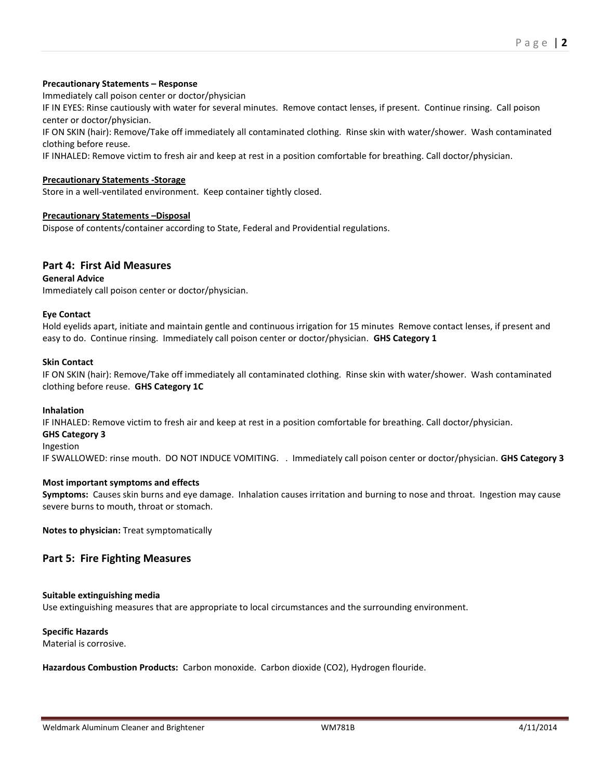### **Precautionary Statements – Response**

Immediately call poison center or doctor/physician

IF IN EYES: Rinse cautiously with water for several minutes. Remove contact lenses, if present. Continue rinsing. Call poison center or doctor/physician.

IF ON SKIN (hair): Remove/Take off immediately all contaminated clothing. Rinse skin with water/shower. Wash contaminated clothing before reuse.

IF INHALED: Remove victim to fresh air and keep at rest in a position comfortable for breathing. Call doctor/physician.

### **Precautionary Statements -Storage**

Store in a well-ventilated environment. Keep container tightly closed.

### **Precautionary Statements –Disposal**

Dispose of contents/container according to State, Federal and Providential regulations.

## **Part 4: First Aid Measures**

**General Advice**

Immediately call poison center or doctor/physician.

### **Eye Contact**

Hold eyelids apart, initiate and maintain gentle and continuous irrigation for 15 minutes Remove contact lenses, if present and easy to do. Continue rinsing. Immediately call poison center or doctor/physician. **GHS Category 1**

### **Skin Contact**

IF ON SKIN (hair): Remove/Take off immediately all contaminated clothing. Rinse skin with water/shower. Wash contaminated clothing before reuse. **GHS Category 1C**

#### **Inhalation**

IF INHALED: Remove victim to fresh air and keep at rest in a position comfortable for breathing. Call doctor/physician.

### **GHS Category 3**

#### Ingestion

IF SWALLOWED: rinse mouth. DO NOT INDUCE VOMITING. . Immediately call poison center or doctor/physician. **GHS Category 3**

### **Most important symptoms and effects**

**Symptoms:** Causes skin burns and eye damage. Inhalation causes irritation and burning to nose and throat. Ingestion may cause severe burns to mouth, throat or stomach.

**Notes to physician:** Treat symptomatically

### **Part 5: Fire Fighting Measures**

### **Suitable extinguishing media**

Use extinguishing measures that are appropriate to local circumstances and the surrounding environment.

#### **Specific Hazards**

Material is corrosive.

**Hazardous Combustion Products:** Carbon monoxide. Carbon dioxide (CO2), Hydrogen flouride.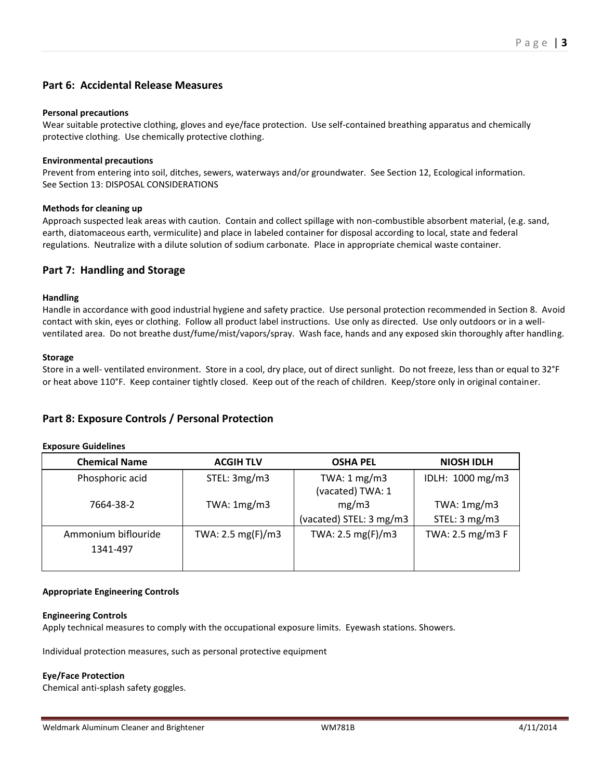## **Part 6: Accidental Release Measures**

### **Personal precautions**

Wear suitable protective clothing, gloves and eye/face protection. Use self-contained breathing apparatus and chemically protective clothing. Use chemically protective clothing.

### **Environmental precautions**

Prevent from entering into soil, ditches, sewers, waterways and/or groundwater. See Section 12, Ecological information. See Section 13: DISPOSAL CONSIDERATIONS

### **Methods for cleaning up**

Approach suspected leak areas with caution. Contain and collect spillage with non-combustible absorbent material, (e.g. sand, earth, diatomaceous earth, vermiculite) and place in labeled container for disposal according to local, state and federal regulations. Neutralize with a dilute solution of sodium carbonate. Place in appropriate chemical waste container.

## **Part 7: Handling and Storage**

### **Handling**

Handle in accordance with good industrial hygiene and safety practice. Use personal protection recommended in Section 8. Avoid contact with skin, eyes or clothing. Follow all product label instructions. Use only as directed. Use only outdoors or in a wellventilated area. Do not breathe dust/fume/mist/vapors/spray. Wash face, hands and any exposed skin thoroughly after handling.

### **Storage**

Store in a well- ventilated environment. Store in a cool, dry place, out of direct sunlight. Do not freeze, less than or equal to 32°F or heat above 110°F. Keep container tightly closed. Keep out of the reach of children. Keep/store only in original container.

## **Part 8: Exposure Controls / Personal Protection**

| EXPOSULE GUIUCINICS             |                             |                                             |                                     |
|---------------------------------|-----------------------------|---------------------------------------------|-------------------------------------|
| <b>Chemical Name</b>            | <b>ACGIH TLV</b>            | <b>OSHA PEL</b>                             | <b>NIOSH IDLH</b>                   |
| Phosphoric acid                 | STEL: 3mg/m3                | TWA: $1 \text{ mg/m}$ 3<br>(vacated) TWA: 1 | IDLH: 1000 mg/m3                    |
| 7664-38-2                       | TWA: $1mg/m3$               | mg/m3<br>(vacated) STEL: 3 mg/m3            | TWA: $1mg/m3$<br>STEL: $3$ mg/m $3$ |
| Ammonium biflouride<br>1341-497 | TWA: $2.5 \text{ mg(F)/m3}$ | TWA: $2.5 \text{ mg(F)/m3}$                 | TWA: 2.5 mg/m3 F                    |

### **Appropriate Engineering Controls**

### **Engineering Controls**

**Exposure Guidelines**

Apply technical measures to comply with the occupational exposure limits. Eyewash stations. Showers.

Individual protection measures, such as personal protective equipment

### **Eye/Face Protection**

Chemical anti-splash safety goggles.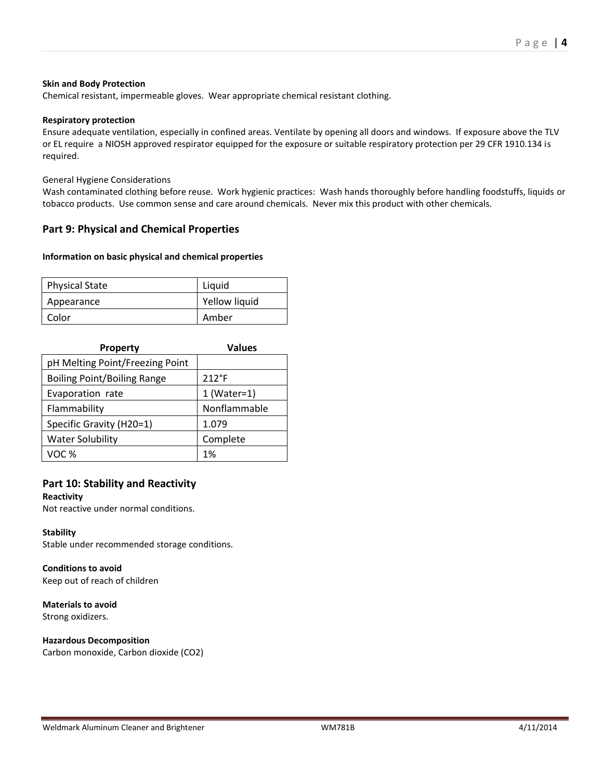### **Skin and Body Protection**

Chemical resistant, impermeable gloves. Wear appropriate chemical resistant clothing.

### **Respiratory protection**

Ensure adequate ventilation, especially in confined areas. Ventilate by opening all doors and windows. If exposure above the TLV or EL require a NIOSH approved respirator equipped for the exposure or suitable respiratory protection per 29 CFR 1910.134 is required.

### General Hygiene Considerations

Wash contaminated clothing before reuse. Work hygienic practices: Wash hands thoroughly before handling foodstuffs, liquids or tobacco products. Use common sense and care around chemicals. Never mix this product with other chemicals.

## **Part 9: Physical and Chemical Properties**

### **Information on basic physical and chemical properties**

| <b>Physical State</b> | Liquid        |
|-----------------------|---------------|
| Appearance            | Yellow liquid |
| Color                 | Amber         |

| <b>Property</b>                    | <b>Values</b>  |  |
|------------------------------------|----------------|--|
| pH Melting Point/Freezing Point    |                |  |
| <b>Boiling Point/Boiling Range</b> | $212^{\circ}F$ |  |
| Evaporation rate                   | $1$ (Water=1)  |  |
| Flammability                       | Nonflammable   |  |
| Specific Gravity (H20=1)           | 1.079          |  |
| <b>Water Solubility</b>            | Complete       |  |
| VOC %                              | 1%             |  |

## **Part 10: Stability and Reactivity**

#### **Reactivity**

Not reactive under normal conditions.

### **Stability**

Stable under recommended storage conditions.

### **Conditions to avoid**

Keep out of reach of children

# **Materials to avoid**

Strong oxidizers.

## **Hazardous Decomposition**

Carbon monoxide, Carbon dioxide (CO2)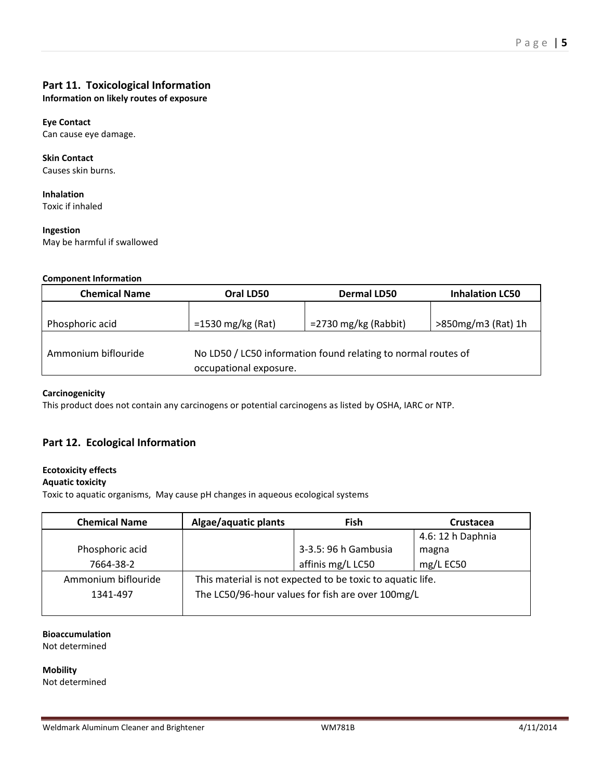## **Part 11. Toxicological Information**

**Information on likely routes of exposure**

## **Eye Contact**

Can cause eye damage.

#### **Skin Contact** Causes skin burns.

**Inhalation** Toxic if inhaled

### **Ingestion**

May be harmful if swallowed

## **Component Information**

| <b>Chemical Name</b> | Oral LD50                                                                               | <b>Dermal LD50</b>      | <b>Inhalation LC50</b> |
|----------------------|-----------------------------------------------------------------------------------------|-------------------------|------------------------|
|                      |                                                                                         |                         |                        |
| Phosphoric acid      | $=1530$ mg/kg (Rat)                                                                     | $=$ 2730 mg/kg (Rabbit) | >850mg/m3 (Rat) 1h     |
| Ammonium biflouride  | No LD50 / LC50 information found relating to normal routes of<br>occupational exposure. |                         |                        |

## **Carcinogenicity**

This product does not contain any carcinogens or potential carcinogens as listed by OSHA, IARC or NTP.

## **Part 12. Ecological Information**

## **Ecotoxicity effects**

## **Aquatic toxicity**

Toxic to aquatic organisms, May cause pH changes in aqueous ecological systems

| <b>Chemical Name</b> | Algae/aquatic plants                                       | <b>Fish</b>          | Crustacea         |
|----------------------|------------------------------------------------------------|----------------------|-------------------|
|                      |                                                            |                      | 4.6: 12 h Daphnia |
| Phosphoric acid      |                                                            | 3-3.5: 96 h Gambusia | magna             |
| 7664-38-2            |                                                            | affinis mg/L LC50    | mg/L EC50         |
| Ammonium biflouride  | This material is not expected to be toxic to aquatic life. |                      |                   |
| 1341-497             | The LC50/96-hour values for fish are over 100mg/L          |                      |                   |
|                      |                                                            |                      |                   |

## **Bioaccumulation**

Not determined

**Mobility** Not determined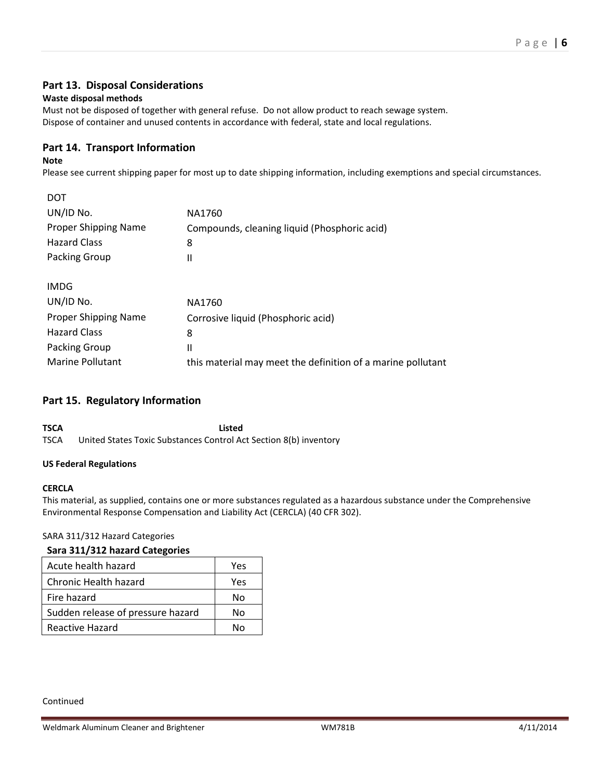## **Part 13. Disposal Considerations**

### **Waste disposal methods**

Must not be disposed of together with general refuse. Do not allow product to reach sewage system. Dispose of container and unused contents in accordance with federal, state and local regulations.

## **Part 14. Transport Information**

### **Note**

Please see current shipping paper for most up to date shipping information, including exemptions and special circumstances.

| DOT                         |                                                             |
|-----------------------------|-------------------------------------------------------------|
| UN/ID No.                   | NA1760                                                      |
| Proper Shipping Name        | Compounds, cleaning liquid (Phosphoric acid)                |
| <b>Hazard Class</b>         | 8                                                           |
| Packing Group               | $\mathsf{II}$                                               |
|                             |                                                             |
| <b>IMDG</b>                 |                                                             |
| UN/ID No.                   | NA1760                                                      |
| <b>Proper Shipping Name</b> | Corrosive liquid (Phosphoric acid)                          |
| <b>Hazard Class</b>         | 8                                                           |
| Packing Group               | $\mathsf{II}$                                               |
| <b>Marine Pollutant</b>     | this material may meet the definition of a marine pollutant |
|                             |                                                             |

## **Part 15. Regulatory Information**

**TSCA Listed** TSCA United States Toxic Substances Control Act Section 8(b) inventory

## **US Federal Regulations**

### **CERCLA**

This material, as supplied, contains one or more substances regulated as a hazardous substance under the Comprehensive Environmental Response Compensation and Liability Act (CERCLA) (40 CFR 302).

### SARA 311/312 Hazard Categories

### **Sara 311/312 hazard Categories**

| Acute health hazard               | Yes |
|-----------------------------------|-----|
| Chronic Health hazard             | Yes |
| Fire hazard                       | No  |
| Sudden release of pressure hazard | N٥  |
| Reactive Hazard                   | N۸  |

#### Continued